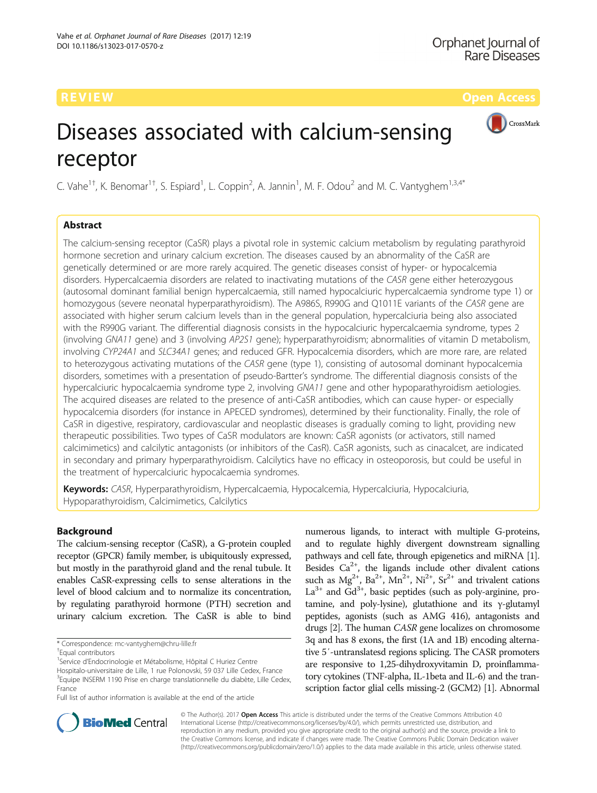CrossMark

# Diseases associated with calcium-sensing receptor

C. Vahe<sup>1†</sup>, K. Benomar<sup>1†</sup>, S. Espiard<sup>1</sup>, L. Coppin<sup>2</sup>, A. Jannin<sup>1</sup>, M. F. Odou<sup>2</sup> and M. C. Vantyghem<sup>1,3,4\*</sup>

# Abstract

The calcium-sensing receptor (CaSR) plays a pivotal role in systemic calcium metabolism by regulating parathyroid hormone secretion and urinary calcium excretion. The diseases caused by an abnormality of the CaSR are genetically determined or are more rarely acquired. The genetic diseases consist of hyper- or hypocalcemia disorders. Hypercalcaemia disorders are related to inactivating mutations of the CASR gene either heterozygous (autosomal dominant familial benign hypercalcaemia, still named hypocalciuric hypercalcaemia syndrome type 1) or homozygous (severe neonatal hyperparathyroidism). The A986S, R990G and Q1011E variants of the CASR gene are associated with higher serum calcium levels than in the general population, hypercalciuria being also associated with the R990G variant. The differential diagnosis consists in the hypocalciuric hypercalcaemia syndrome, types 2 (involving GNA11 gene) and 3 (involving AP2S1 gene); hyperparathyroidism; abnormalities of vitamin D metabolism, involving CYP24A1 and SLC34A1 genes; and reduced GFR. Hypocalcemia disorders, which are more rare, are related to heterozygous activating mutations of the CASR gene (type 1), consisting of autosomal dominant hypocalcemia disorders, sometimes with a presentation of pseudo-Bartter's syndrome. The differential diagnosis consists of the hypercalciuric hypocalcaemia syndrome type 2, involving GNA11 gene and other hypoparathyroidism aetiologies. The acquired diseases are related to the presence of anti-CaSR antibodies, which can cause hyper- or especially hypocalcemia disorders (for instance in APECED syndromes), determined by their functionality. Finally, the role of CaSR in digestive, respiratory, cardiovascular and neoplastic diseases is gradually coming to light, providing new therapeutic possibilities. Two types of CaSR modulators are known: CaSR agonists (or activators, still named calcimimetics) and calcilytic antagonists (or inhibitors of the CasR). CaSR agonists, such as cinacalcet, are indicated in secondary and primary hyperparathyroidism. Calcilytics have no efficacy in osteoporosis, but could be useful in the treatment of hypercalciuric hypocalcaemia syndromes.

Keywords: CASR, Hyperparathyroidism, Hypercalcaemia, Hypocalcemia, Hypercalciuria, Hypocalciuria, Hypoparathyroidism, Calcimimetics, Calcilytics

# Background

The calcium-sensing receptor (CaSR), a G-protein coupled receptor (GPCR) family member, is ubiquitously expressed, but mostly in the parathyroid gland and the renal tubule. It enables CaSR-expressing cells to sense alterations in the level of blood calcium and to normalize its concentration, by regulating parathyroid hormone (PTH) secretion and urinary calcium excretion. The CaSR is able to bind numerous ligands, to interact with multiple G-proteins, and to regulate highly divergent downstream signalling pathways and cell fate, through epigenetics and miRNA [[1](#page-6-0)]. Besides  $Ca^{2+}$ , the ligands include other divalent cations such as  $Mg^{2+}$ ,  $Ba^{2+}$ ,  $Mn^{2+}$ ,  $Ni^{2+}$ ,  $Sr^{2+}$  and trivalent cations  $La^{3+}$  and  $Gd^{3+}$ , basic peptides (such as poly-arginine, protamine, and poly-lysine), glutathione and its γ-glutamyl peptides, agonists (such as AMG 416), antagonists and drugs [\[2\]](#page-6-0). The human CASR gene localizes on chromosome 3q and has 8 exons, the first (1A and 1B) encoding alternative 5′-untranslatesd regions splicing. The CASR promoters are responsive to 1,25-dihydroxyvitamin D, proinflammatory cytokines (TNF-alpha, IL-1beta and IL-6) and the transcription factor glial cells missing-2 (GCM2) [\[1\]](#page-6-0). Abnormal



© The Author(s). 2017 **Open Access** This article is distributed under the terms of the Creative Commons Attribution 4.0 International License [\(http://creativecommons.org/licenses/by/4.0/](http://creativecommons.org/licenses/by/4.0/)), which permits unrestricted use, distribution, and reproduction in any medium, provided you give appropriate credit to the original author(s) and the source, provide a link to the Creative Commons license, and indicate if changes were made. The Creative Commons Public Domain Dedication waiver [\(http://creativecommons.org/publicdomain/zero/1.0/](http://creativecommons.org/publicdomain/zero/1.0/)) applies to the data made available in this article, unless otherwise stated.

<sup>\*</sup> Correspondence: [mc-vantyghem@chru-lille.fr](mailto:mc-vantyghem@chru-lille.fr) †

Equal contributors

<sup>&</sup>lt;sup>1</sup>Service d'Endocrinologie et Métabolisme, Hôpital C Huriez Centre

Hospitalo-universitaire de Lille, 1 rue Polonovski, 59 037 Lille Cedex, France

<sup>&</sup>lt;sup>3</sup> Equipe INSERM 1190 Prise en charge translationnelle du diabète, Lille Cedex, France

Full list of author information is available at the end of the article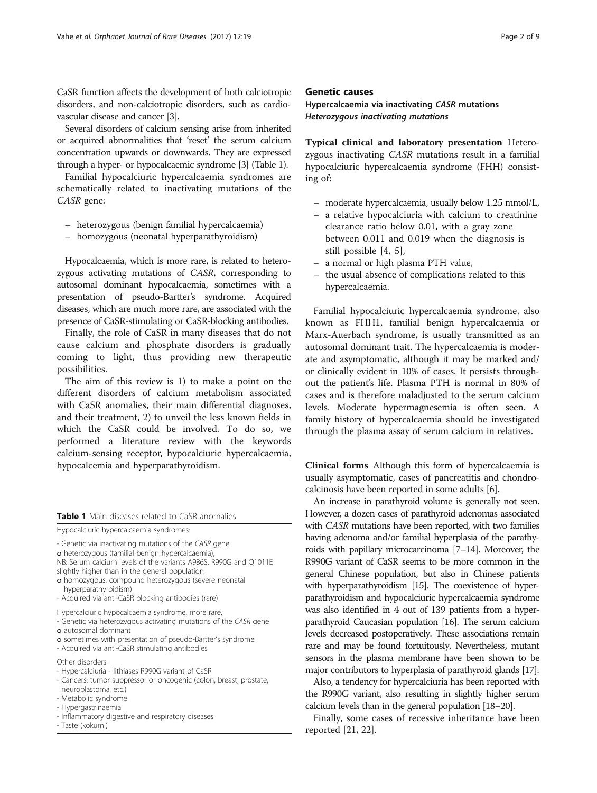<span id="page-1-0"></span>CaSR function affects the development of both calciotropic disorders, and non-calciotropic disorders, such as cardiovascular disease and cancer [\[3\]](#page-6-0).

Several disorders of calcium sensing arise from inherited or acquired abnormalities that 'reset' the serum calcium concentration upwards or downwards. They are expressed through a hyper- or hypocalcaemic syndrome [[3](#page-6-0)] (Table 1).

Familial hypocalciuric hypercalcaemia syndromes are schematically related to inactivating mutations of the CASR gene:

- heterozygous (benign familial hypercalcaemia)
- homozygous (neonatal hyperparathyroidism)

Hypocalcaemia, which is more rare, is related to heterozygous activating mutations of CASR, corresponding to autosomal dominant hypocalcaemia, sometimes with a presentation of pseudo-Bartter's syndrome. Acquired diseases, which are much more rare, are associated with the presence of CaSR-stimulating or CaSR-blocking antibodies.

Finally, the role of CaSR in many diseases that do not cause calcium and phosphate disorders is gradually coming to light, thus providing new therapeutic possibilities.

The aim of this review is 1) to make a point on the different disorders of calcium metabolism associated with CaSR anomalies, their main differential diagnoses, and their treatment, 2) to unveil the less known fields in which the CaSR could be involved. To do so, we performed a literature review with the keywords calcium-sensing receptor, hypocalciuric hypercalcaemia, hypocalcemia and hyperparathyroidism.

Table 1 Main diseases related to CaSR anomalies

Hypocalciuric hypercalcaemia syndromes:

- Genetic via inactivating mutations of the CASR gene o heterozygous (familial benign hypercalcaemia), NB: Serum calcium levels of the variants A986S, R990G and Q1011E

slightly higher than in the general population o homozygous, compound heterozygous (severe neonatal hyperparathyroidism)

- Acquired via anti-CaSR blocking antibodies (rare)

Hypercalciuric hypocalcaemia syndrome, more rare,

- Genetic via heterozygous activating mutations of the CASR gene o autosomal dominant

o sometimes with presentation of pseudo-Bartter's syndrome

- Acquired via anti-CaSR stimulating antibodies

Other disorders

- Hypercalciuria lithiases R990G variant of CaSR
- Cancers: tumor suppressor or oncogenic (colon, breast, prostate, neuroblastoma, etc.)
- Metabolic syndrome
- Hypergastrinaemia
- Inflammatory digestive and respiratory diseases
- Taste (kokumi)

## Genetic causes

Hypercalcaemia via inactivating CASR mutations Heterozygous inactivating mutations

Typical clinical and laboratory presentation Heterozygous inactivating CASR mutations result in a familial hypocalciuric hypercalcaemia syndrome (FHH) consisting of:

- moderate hypercalcaemia, usually below 1.25 mmol/L,
- a relative hypocalciuria with calcium to creatinine clearance ratio below 0.01, with a gray zone between 0.011 and 0.019 when the diagnosis is still possible [[4,](#page-6-0) [5\]](#page-6-0),
- a normal or high plasma PTH value,
- the usual absence of complications related to this hypercalcaemia.

Familial hypocalciuric hypercalcaemia syndrome, also known as FHH1, familial benign hypercalcaemia or Marx-Auerbach syndrome, is usually transmitted as an autosomal dominant trait. The hypercalcaemia is moderate and asymptomatic, although it may be marked and/ or clinically evident in 10% of cases. It persists throughout the patient's life. Plasma PTH is normal in 80% of cases and is therefore maladjusted to the serum calcium levels. Moderate hypermagnesemia is often seen. A family history of hypercalcaemia should be investigated through the plasma assay of serum calcium in relatives.

Clinical forms Although this form of hypercalcaemia is usually asymptomatic, cases of pancreatitis and chondrocalcinosis have been reported in some adults [[6](#page-6-0)].

An increase in parathyroid volume is generally not seen. However, a dozen cases of parathyroid adenomas associated with CASR mutations have been reported, with two families having adenoma and/or familial hyperplasia of the parathyroids with papillary microcarcinoma [[7](#page-6-0)–[14](#page-6-0)]. Moreover, the R990G variant of CaSR seems to be more common in the general Chinese population, but also in Chinese patients with hyperparathyroidism [[15](#page-6-0)]. The coexistence of hyperparathyroidism and hypocalciuric hypercalcaemia syndrome was also identified in 4 out of 139 patients from a hyperparathyroid Caucasian population [[16](#page-7-0)]. The serum calcium levels decreased postoperatively. These associations remain rare and may be found fortuitously. Nevertheless, mutant sensors in the plasma membrane have been shown to be major contributors to hyperplasia of parathyroid glands [[17](#page-7-0)].

Also, a tendency for hypercalciuria has been reported with the R990G variant, also resulting in slightly higher serum calcium levels than in the general population [\[18](#page-7-0)–[20\]](#page-7-0).

Finally, some cases of recessive inheritance have been reported [[21, 22](#page-7-0)].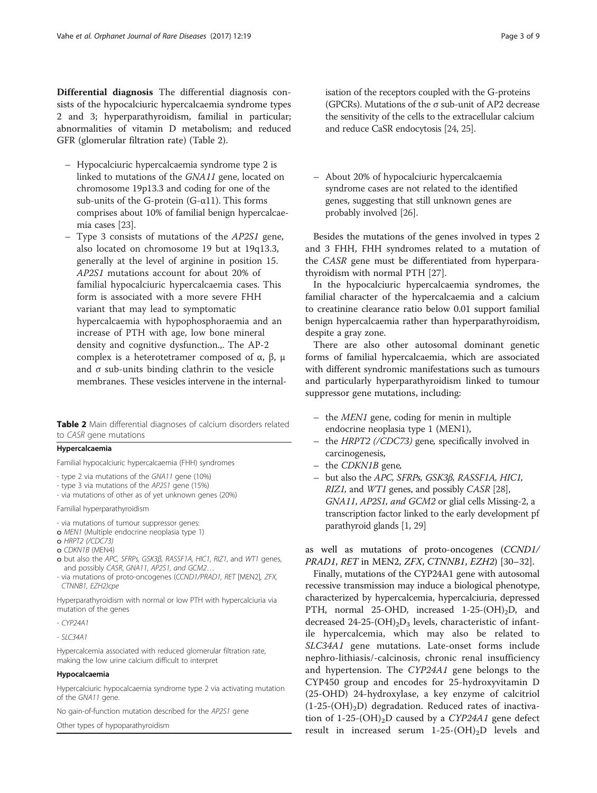<span id="page-2-0"></span>Differential diagnosis The differential diagnosis consists of the hypocalciuric hypercalcaemia syndrome types 2 and 3; hyperparathyroidism, familial in particular; abnormalities of vitamin D metabolism; and reduced GFR (glomerular filtration rate) (Table 2).

- Hypocalciuric hypercalcaemia syndrome type 2 is linked to mutations of the GNA11 gene, located on chromosome 19p13.3 and coding for one of the sub-units of the G-protein (G- $\alpha$ 11). This forms comprises about 10% of familial benign hypercalcaemia cases [[23](#page-7-0)].
- Type 3 consists of mutations of the AP2S1 gene, also located on chromosome 19 but at 19q13.3, generally at the level of arginine in position 15. AP2S1 mutations account for about 20% of familial hypocalciuric hypercalcaemia cases. This form is associated with a more severe FHH variant that may lead to symptomatic hypercalcaemia with hypophosphoraemia and an increase of PTH with age, low bone mineral density and cognitive dysfunction.,. The AP-2 complex is a heterotetramer composed of α, β, μ and σ sub-units binding clathrin to the vesicle membranes. These vesicles intervene in the internal-

Table 2 Main differential diagnoses of calcium disorders related to CASR gene mutations

#### Hypercalcaemia

Familial hypocalciuric hypercalcaemia (FHH) syndromes

- type 2 via mutations of the GNA11 gene (10%)
- type 3 via mutations of the AP2S1 gene (15%)
- via mutations of other as of yet unknown genes (20%)

Familial hyperparathyroidism

- via mutations of tumour suppressor genes:
- o MEN1 (Multiple endocrine neoplasia type 1)
- o HRPT2 (/CDC73)
- o CDKN1B (MEN4)
- o but also the APC, SFRPs, GSK3β, RASSF1A, HIC1, RIZ1, and WT1 genes, and possibly CASR, GNA11, AP2S1, and GCM2…
- via mutations of proto-oncogenes (CCND1/PRAD1, RET [MEN2], ZFX, CTNNB1, EZH2)cpe

Hyperparathyroidism with normal or low PTH with hypercalciuria via mutation of the genes

- CYP24A1
- $-SIC34A1$

Hypercalcemia associated with reduced glomerular filtration rate, making the low urine calcium difficult to interpret

#### Hypocalcaemia

Hypercalciuric hypocalcaemia syndrome type 2 via activating mutation of the GNA11 gene.

No gain-of-function mutation described for the AP2S1 gene

Other types of hypoparathyroidism

isation of the receptors coupled with the G-proteins (GPCRs). Mutations of the σ sub-unit of AP2 decrease the sensitivity of the cells to the extracellular calcium and reduce CaSR endocytosis [\[24,](#page-7-0) [25\]](#page-7-0).

– About 20% of hypocalciuric hypercalcaemia syndrome cases are not related to the identified genes, suggesting that still unknown genes are probably involved [\[26\]](#page-7-0).

Besides the mutations of the genes involved in types 2 and 3 FHH, FHH syndromes related to a mutation of the CASR gene must be differentiated from hyperparathyroidism with normal PTH [[27](#page-7-0)].

In the hypocalciuric hypercalcaemia syndromes, the familial character of the hypercalcaemia and a calcium to creatinine clearance ratio below 0.01 support familial benign hypercalcaemia rather than hyperparathyroidism, despite a gray zone.

There are also other autosomal dominant genetic forms of familial hypercalcaemia, which are associated with different syndromic manifestations such as tumours and particularly hyperparathyroidism linked to tumour suppressor gene mutations, including:

- the MEN1 gene, coding for menin in multiple endocrine neoplasia type 1 (MEN1),
- the *HRPT2 (/CDC73)* gene, specifically involved in carcinogenesis,
- the CDKN1B gene,
- but also the APC, SFRPs, GSK3β, RASSF1A, HIC1, RIZ1, and WT1 genes, and possibly CASR [[28](#page-7-0)], GNA11, AP2S1, and GCM2 or glial cells Missing-2, a transcription factor linked to the early development pf parathyroid glands [\[1](#page-6-0), [29](#page-7-0)]

as well as mutations of proto-oncogenes (CCND1/ PRAD1, RET in MEN2, ZFX, CTNNB1, EZH2) [[30](#page-7-0)–[32](#page-7-0)].

Finally, mutations of the CYP24A1 gene with autosomal recessive transmission may induce a biological phenotype, characterized by hypercalcemia, hypercalciuria, depressed PTH, normal 25-OHD, increased  $1-25-(OH)_2D$ , and decreased  $24-25-(OH)<sub>2</sub>D<sub>3</sub>$  levels, characteristic of infantile hypercalcemia, which may also be related to SLC34A1 gene mutations. Late-onset forms include nephro-lithiasis/-calcinosis, chronic renal insufficiency and hypertension. The CYP24A1 gene belongs to the CYP450 group and encodes for 25-hydroxyvitamin D (25-OHD) 24-hydroxylase, a key enzyme of calcitriol  $(1-25-(OH)<sub>2</sub>D)$  degradation. Reduced rates of inactivation of 1-25-(OH)<sub>2</sub>D caused by a CYP24A1 gene defect result in increased serum  $1-25-(OH)_2D$  levels and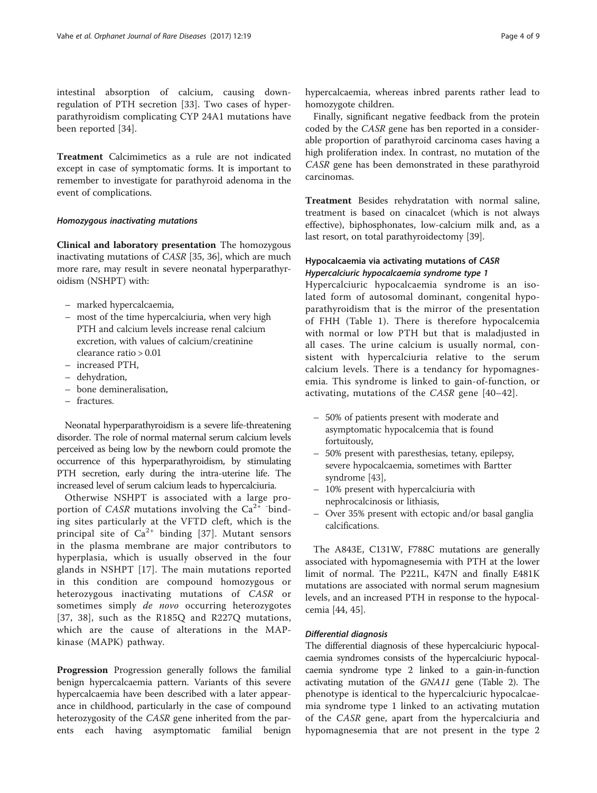intestinal absorption of calcium, causing downregulation of PTH secretion [[33\]](#page-7-0). Two cases of hyperparathyroidism complicating CYP 24A1 mutations have been reported [[34](#page-7-0)].

Treatment Calcimimetics as a rule are not indicated except in case of symptomatic forms. It is important to remember to investigate for parathyroid adenoma in the event of complications.

#### Homozygous inactivating mutations

Clinical and laboratory presentation The homozygous inactivating mutations of CASR [[35, 36\]](#page-7-0), which are much more rare, may result in severe neonatal hyperparathyroidism (NSHPT) with:

- marked hypercalcaemia,
- most of the time hypercalciuria, when very high PTH and calcium levels increase renal calcium excretion, with values of calcium/creatinine clearance ratio > 0.01
- increased PTH,
- dehydration,
- bone demineralisation,
- fractures.

Neonatal hyperparathyroidism is a severe life-threatening disorder. The role of normal maternal serum calcium levels perceived as being low by the newborn could promote the occurrence of this hyperparathyroidism, by stimulating PTH secretion, early during the intra-uterine life. The increased level of serum calcium leads to hypercalciuria.

Otherwise NSHPT is associated with a large proportion of CASR mutations involving the  $Ca^{2+}$  -binding sites particularly at the VFTD cleft, which is the principal site of  $Ca^{2+}$  binding [[37\]](#page-7-0). Mutant sensors in the plasma membrane are major contributors to hyperplasia, which is usually observed in the four glands in NSHPT [[17](#page-7-0)]. The main mutations reported in this condition are compound homozygous or heterozygous inactivating mutations of CASR or sometimes simply de novo occurring heterozygotes [[37](#page-7-0), [38\]](#page-7-0), such as the R185Q and R227Q mutations, which are the cause of alterations in the MAPkinase (MAPK) pathway.

Progression Progression generally follows the familial benign hypercalcaemia pattern. Variants of this severe hypercalcaemia have been described with a later appearance in childhood, particularly in the case of compound heterozygosity of the *CASR* gene inherited from the parents each having asymptomatic familial benign

Finally, significant negative feedback from the protein coded by the CASR gene has ben reported in a considerable proportion of parathyroid carcinoma cases having a high proliferation index. In contrast, no mutation of the CASR gene has been demonstrated in these parathyroid carcinomas.

Treatment Besides rehydratation with normal saline, treatment is based on cinacalcet (which is not always effective), biphosphonates, low-calcium milk and, as a last resort, on total parathyroidectomy [[39](#page-7-0)].

# Hypocalcaemia via activating mutations of CASR Hypercalciuric hypocalcaemia syndrome type 1

Hypercalciuric hypocalcaemia syndrome is an isolated form of autosomal dominant, congenital hypoparathyroidism that is the mirror of the presentation of FHH (Table [1](#page-1-0)). There is therefore hypocalcemia with normal or low PTH but that is maladjusted in all cases. The urine calcium is usually normal, consistent with hypercalciuria relative to the serum calcium levels. There is a tendancy for hypomagnesemia. This syndrome is linked to gain-of-function, or activating, mutations of the CASR gene [[40](#page-7-0)–[42](#page-7-0)].

- 50% of patients present with moderate and asymptomatic hypocalcemia that is found fortuitously,
- 50% present with paresthesias, tetany, epilepsy, severe hypocalcaemia, sometimes with Bartter syndrome [\[43\]](#page-7-0),
- 10% present with hypercalciuria with nephrocalcinosis or lithiasis,
- Over 35% present with ectopic and/or basal ganglia calcifications.

The A843E, C131W, F788C mutations are generally associated with hypomagnesemia with PTH at the lower limit of normal. The P221L, K47N and finally E481K mutations are associated with normal serum magnesium levels, and an increased PTH in response to the hypocalcemia [[44, 45](#page-7-0)].

## Differential diagnosis

The differential diagnosis of these hypercalciuric hypocalcaemia syndromes consists of the hypercalciuric hypocalcaemia syndrome type 2 linked to a gain-in-function activating mutation of the GNA11 gene (Table [2\)](#page-2-0). The phenotype is identical to the hypercalciuric hypocalcaemia syndrome type 1 linked to an activating mutation of the CASR gene, apart from the hypercalciuria and hypomagnesemia that are not present in the type 2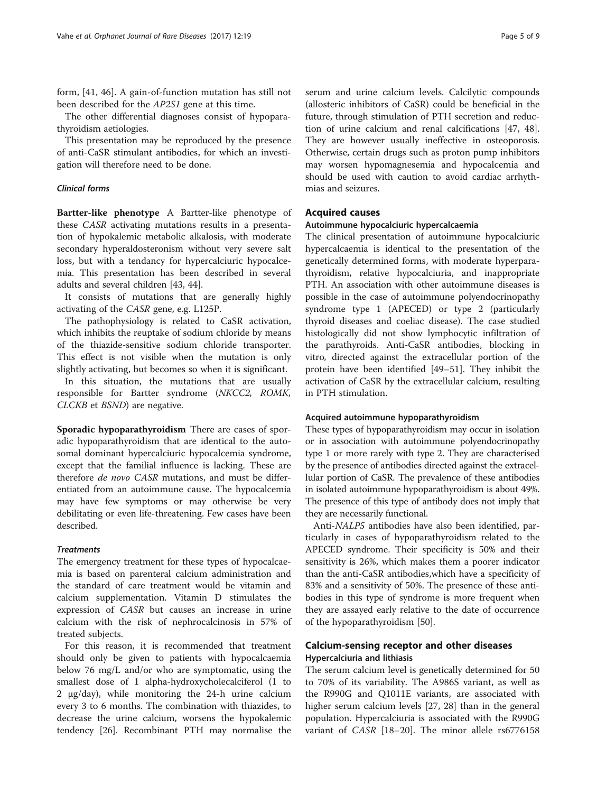form, [\[41](#page-7-0), [46\]](#page-7-0). A gain-of-function mutation has still not been described for the AP2S1 gene at this time.

The other differential diagnoses consist of hypoparathyroidism aetiologies.

This presentation may be reproduced by the presence of anti-CaSR stimulant antibodies, for which an investigation will therefore need to be done.

## Clinical forms

Bartter-like phenotype A Bartter-like phenotype of these CASR activating mutations results in a presentation of hypokalemic metabolic alkalosis, with moderate secondary hyperaldosteronism without very severe salt loss, but with a tendancy for hypercalciuric hypocalcemia. This presentation has been described in several adults and several children [[43](#page-7-0), [44](#page-7-0)].

It consists of mutations that are generally highly activating of the CASR gene, e.g. L125P.

The pathophysiology is related to CaSR activation, which inhibits the reuptake of sodium chloride by means of the thiazide-sensitive sodium chloride transporter. This effect is not visible when the mutation is only slightly activating, but becomes so when it is significant.

In this situation, the mutations that are usually responsible for Bartter syndrome (NKCC2, ROMK, CLCKB et BSND) are negative.

Sporadic hypoparathyroidism There are cases of sporadic hypoparathyroidism that are identical to the autosomal dominant hypercalciuric hypocalcemia syndrome, except that the familial influence is lacking. These are therefore de novo CASR mutations, and must be differentiated from an autoimmune cause. The hypocalcemia may have few symptoms or may otherwise be very debilitating or even life-threatening. Few cases have been described.

#### **Treatments**

The emergency treatment for these types of hypocalcaemia is based on parenteral calcium administration and the standard of care treatment would be vitamin and calcium supplementation. Vitamin D stimulates the expression of CASR but causes an increase in urine calcium with the risk of nephrocalcinosis in 57% of treated subjects.

For this reason, it is recommended that treatment should only be given to patients with hypocalcaemia below 76 mg/L and/or who are symptomatic, using the smallest dose of 1 alpha-hydroxycholecalciferol (1 to 2 μg/day), while monitoring the 24-h urine calcium every 3 to 6 months. The combination with thiazides, to decrease the urine calcium, worsens the hypokalemic tendency [\[26](#page-7-0)]. Recombinant PTH may normalise the serum and urine calcium levels. Calcilytic compounds (allosteric inhibitors of CaSR) could be beneficial in the future, through stimulation of PTH secretion and reduction of urine calcium and renal calcifications [[47, 48](#page-7-0)]. They are however usually ineffective in osteoporosis. Otherwise, certain drugs such as proton pump inhibitors may worsen hypomagnesemia and hypocalcemia and should be used with caution to avoid cardiac arrhythmias and seizures.

## Acquired causes

## Autoimmune hypocalciuric hypercalcaemia

The clinical presentation of autoimmune hypocalciuric hypercalcaemia is identical to the presentation of the genetically determined forms, with moderate hyperparathyroidism, relative hypocalciuria, and inappropriate PTH. An association with other autoimmune diseases is possible in the case of autoimmune polyendocrinopathy syndrome type 1 (APECED) or type 2 (particularly thyroid diseases and coeliac disease). The case studied histologically did not show lymphocytic infiltration of the parathyroids. Anti-CaSR antibodies, blocking in vitro, directed against the extracellular portion of the protein have been identified [\[49](#page-8-0)–[51\]](#page-8-0). They inhibit the activation of CaSR by the extracellular calcium, resulting in PTH stimulation.

## Acquired autoimmune hypoparathyroidism

These types of hypoparathyroidism may occur in isolation or in association with autoimmune polyendocrinopathy type 1 or more rarely with type 2. They are characterised by the presence of antibodies directed against the extracellular portion of CaSR. The prevalence of these antibodies in isolated autoimmune hypoparathyroidism is about 49%. The presence of this type of antibody does not imply that they are necessarily functional.

Anti-NALP5 antibodies have also been identified, particularly in cases of hypoparathyroidism related to the APECED syndrome. Their specificity is 50% and their sensitivity is 26%, which makes them a poorer indicator than the anti-CaSR antibodies,which have a specificity of 83% and a sensitivity of 50%. The presence of these antibodies in this type of syndrome is more frequent when they are assayed early relative to the date of occurrence of the hypoparathyroidism [\[50](#page-8-0)].

## Calcium-sensing receptor and other diseases Hypercalciuria and lithiasis

The serum calcium level is genetically determined for 50 to 70% of its variability. The A986S variant, as well as the R990G and Q1011E variants, are associated with higher serum calcium levels [\[27](#page-7-0), [28\]](#page-7-0) than in the general population. Hypercalciuria is associated with the R990G variant of CASR [\[18](#page-7-0)–[20](#page-7-0)]. The minor allele rs6776158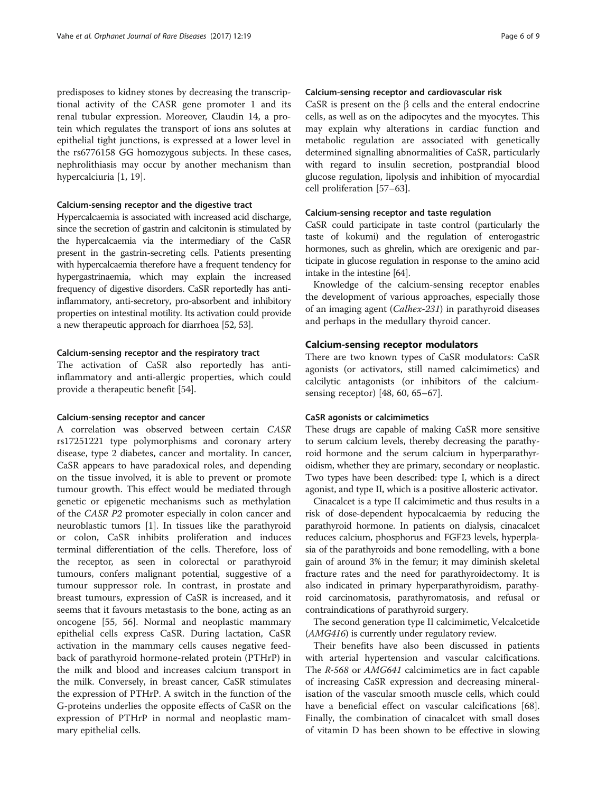predisposes to kidney stones by decreasing the transcriptional activity of the CASR gene promoter 1 and its renal tubular expression. Moreover, Claudin 14, a protein which regulates the transport of ions ans solutes at epithelial tight junctions, is expressed at a lower level in the rs6776158 GG homozygous subjects. In these cases, nephrolithiasis may occur by another mechanism than hypercalciuria [\[1,](#page-6-0) [19\]](#page-7-0).

#### Calcium-sensing receptor and the digestive tract

Hypercalcaemia is associated with increased acid discharge, since the secretion of gastrin and calcitonin is stimulated by the hypercalcaemia via the intermediary of the CaSR present in the gastrin-secreting cells. Patients presenting with hypercalcaemia therefore have a frequent tendency for hypergastrinaemia, which may explain the increased frequency of digestive disorders. CaSR reportedly has antiinflammatory, anti-secretory, pro-absorbent and inhibitory properties on intestinal motility. Its activation could provide a new therapeutic approach for diarrhoea [\[52, 53\]](#page-8-0).

## Calcium-sensing receptor and the respiratory tract

The activation of CaSR also reportedly has antiinflammatory and anti-allergic properties, which could provide a therapeutic benefit [[54](#page-8-0)].

#### Calcium-sensing receptor and cancer

A correlation was observed between certain CASR rs17251221 type polymorphisms and coronary artery disease, type 2 diabetes, cancer and mortality. In cancer, CaSR appears to have paradoxical roles, and depending on the tissue involved, it is able to prevent or promote tumour growth. This effect would be mediated through genetic or epigenetic mechanisms such as methylation of the CASR P2 promoter especially in colon cancer and neuroblastic tumors [\[1\]](#page-6-0). In tissues like the parathyroid or colon, CaSR inhibits proliferation and induces terminal differentiation of the cells. Therefore, loss of the receptor, as seen in colorectal or parathyroid tumours, confers malignant potential, suggestive of a tumour suppressor role. In contrast, in prostate and breast tumours, expression of CaSR is increased, and it seems that it favours metastasis to the bone, acting as an oncogene [[55, 56](#page-8-0)]. Normal and neoplastic mammary epithelial cells express CaSR. During lactation, CaSR activation in the mammary cells causes negative feedback of parathyroid hormone-related protein (PTHrP) in the milk and blood and increases calcium transport in the milk. Conversely, in breast cancer, CaSR stimulates the expression of PTHrP. A switch in the function of the G-proteins underlies the opposite effects of CaSR on the expression of PTHrP in normal and neoplastic mammary epithelial cells.

## Calcium-sensing receptor and cardiovascular risk

CaSR is present on the β cells and the enteral endocrine cells, as well as on the adipocytes and the myocytes. This may explain why alterations in cardiac function and metabolic regulation are associated with genetically determined signalling abnormalities of CaSR, particularly with regard to insulin secretion, postprandial blood glucose regulation, lipolysis and inhibition of myocardial cell proliferation [\[57](#page-8-0)–[63\]](#page-8-0).

## Calcium-sensing receptor and taste regulation

CaSR could participate in taste control (particularly the taste of kokumi) and the regulation of enterogastric hormones, such as ghrelin, which are orexigenic and participate in glucose regulation in response to the amino acid intake in the intestine [\[64\]](#page-8-0).

Knowledge of the calcium-sensing receptor enables the development of various approaches, especially those of an imaging agent (Calhex-231) in parathyroid diseases and perhaps in the medullary thyroid cancer.

## Calcium-sensing receptor modulators

There are two known types of CaSR modulators: CaSR agonists (or activators, still named calcimimetics) and calcilytic antagonists (or inhibitors of the calciumsensing receptor) [\[48,](#page-7-0) [60, 65](#page-8-0)–[67\]](#page-8-0).

## CaSR agonists or calcimimetics

These drugs are capable of making CaSR more sensitive to serum calcium levels, thereby decreasing the parathyroid hormone and the serum calcium in hyperparathyroidism, whether they are primary, secondary or neoplastic. Two types have been described: type I, which is a direct agonist, and type II, which is a positive allosteric activator.

Cinacalcet is a type II calcimimetic and thus results in a risk of dose-dependent hypocalcaemia by reducing the parathyroid hormone. In patients on dialysis, cinacalcet reduces calcium, phosphorus and FGF23 levels, hyperplasia of the parathyroids and bone remodelling, with a bone gain of around 3% in the femur; it may diminish skeletal fracture rates and the need for parathyroidectomy. It is also indicated in primary hyperparathyroidism, parathyroid carcinomatosis, parathyromatosis, and refusal or contraindications of parathyroid surgery.

The second generation type II calcimimetic, Velcalcetide (AMG416) is currently under regulatory review.

Their benefits have also been discussed in patients with arterial hypertension and vascular calcifications. The R-568 or AMG641 calcimimetics are in fact capable of increasing CaSR expression and decreasing mineralisation of the vascular smooth muscle cells, which could have a beneficial effect on vascular calcifications [\[68](#page-8-0)]. Finally, the combination of cinacalcet with small doses of vitamin D has been shown to be effective in slowing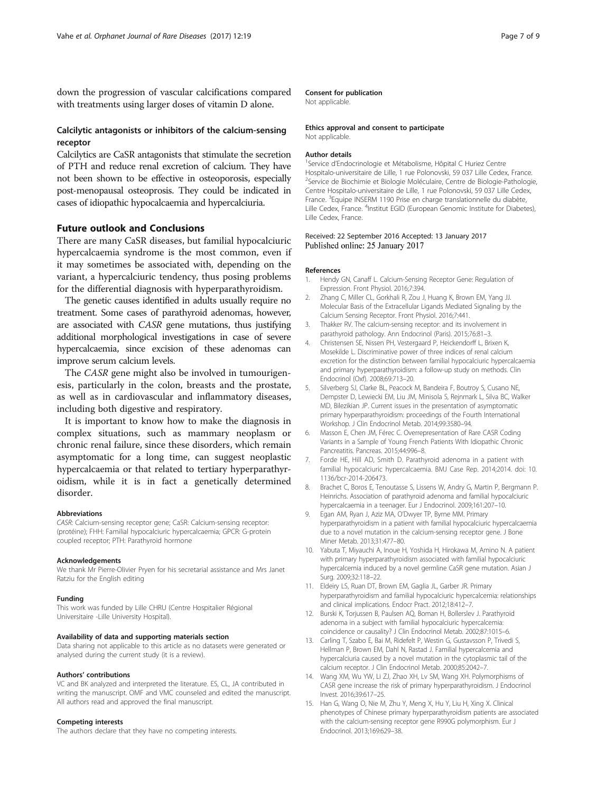<span id="page-6-0"></span>down the progression of vascular calcifications compared with treatments using larger doses of vitamin D alone.

## Calcilytic antagonists or inhibitors of the calcium-sensing receptor

Calcilytics are CaSR antagonists that stimulate the secretion of PTH and reduce renal excretion of calcium. They have not been shown to be effective in osteoporosis, especially post-menopausal osteoprosis. They could be indicated in cases of idiopathic hypocalcaemia and hypercalciuria.

## Future outlook and Conclusions

There are many CaSR diseases, but familial hypocalciuric hypercalcaemia syndrome is the most common, even if it may sometimes be associated with, depending on the variant, a hypercalciuric tendency, thus posing problems for the differential diagnosis with hyperparathyroidism.

The genetic causes identified in adults usually require no treatment. Some cases of parathyroid adenomas, however, are associated with CASR gene mutations, thus justifying additional morphological investigations in case of severe hypercalcaemia, since excision of these adenomas can improve serum calcium levels.

The CASR gene might also be involved in tumourigenesis, particularly in the colon, breasts and the prostate, as well as in cardiovascular and inflammatory diseases, including both digestive and respiratory.

It is important to know how to make the diagnosis in complex situations, such as mammary neoplasm or chronic renal failure, since these disorders, which remain asymptomatic for a long time, can suggest neoplastic hypercalcaemia or that related to tertiary hyperparathyroidism, while it is in fact a genetically determined disorder.

#### Abbreviations

CASR: Calcium-sensing receptor gene; CaSR: Calcium-sensing receptor: (protéine); FHH: Familial hypocalciuric hypercalcaemia; GPCR: G-protein coupled receptor; PTH: Parathyroid hormone

#### Acknowledgements

We thank Mr Pierre-Olivier Pryen for his secretarial assistance and Mrs Janet Ratziu for the English editing

#### Funding

This work was funded by Lille CHRU (Centre Hospitalier Régional Universitaire -Lille University Hospital).

#### Availability of data and supporting materials section

Data sharing not applicable to this article as no datasets were generated or analysed during the current study (it is a review).

#### Authors' contributions

VC and BK analyzed and interpreted the literature. ES, CL, JA contributed in writing the manuscript. OMF and VMC counseled and edited the manuscript. All authors read and approved the final manuscript.

#### Competing interests

The authors declare that they have no competing interests.

#### Consent for publication

Not applicable.

#### Ethics approval and consent to participate

Not applicable.

#### Author details

1 Service d'Endocrinologie et Métabolisme, Hôpital C Huriez Centre Hospitalo-universitaire de Lille, 1 rue Polonovski, 59 037 Lille Cedex, France. <sup>2</sup>Service de Biochimie et Biologie Moléculaire, Centre de Biologie-Pathologie, Centre Hospitalo-universitaire de Lille, 1 rue Polonovski, 59 037 Lille Cedex, France. <sup>3</sup> Equipe INSERM 1190 Prise en charge translationnelle du diabète Lille Cedex, France. <sup>4</sup>Institut EGID (European Genomic Institute for Diabetes), Lille Cedex, France.

## Received: 22 September 2016 Accepted: 13 January 2017 Published online: 25 January 2017

#### References

- Hendy GN, Canaff L. Calcium-Sensing Receptor Gene: Regulation of Expression. Front Physiol. 2016;7:394.
- 2. Zhang C, Miller CL, Gorkhali R, Zou J, Huang K, Brown EM, Yang JJ. Molecular Basis of the Extracellular Ligands Mediated Signaling by the Calcium Sensing Receptor. Front Physiol. 2016;7:441.
- 3. Thakker RV. The calcium-sensing receptor: and its involvement in parathyroid pathology. Ann Endocrinol (Paris). 2015;76:81–3.
- 4. Christensen SE, Nissen PH, Vestergaard P, Heickendorff L, Brixen K, Mosekilde L. Discriminative power of three indices of renal calcium excretion for the distinction between familial hypocalciuric hypercalcaemia and primary hyperparathyroidism: a follow-up study on methods. Clin Endocrinol (Oxf). 2008;69:713–20.
- 5. Silverberg SJ, Clarke BL, Peacock M, Bandeira F, Boutroy S, Cusano NE, Dempster D, Lewiecki EM, Liu JM, Minisola S, Rejnmark L, Silva BC, Walker MD, Bilezikian JP. Current issues in the presentation of asymptomatic primary hyperparathyroidism: proceedings of the Fourth International Workshop. J Clin Endocrinol Metab. 2014;99:3580–94.
- 6. Masson E, Chen JM, Férec C. Overrepresentation of Rare CASR Coding Variants in a Sample of Young French Patients With Idiopathic Chronic Pancreatitis. Pancreas. 2015;44:996–8.
- 7. Forde HE, Hill AD, Smith D. Parathyroid adenoma in a patient with familial hypocalciuric hypercalcaemia. BMJ Case Rep. 2014;2014. doi: [10.](http://dx.doi.org/10.1136/bcr-2014-206473) [1136/bcr-2014-206473.](http://dx.doi.org/10.1136/bcr-2014-206473)
- 8. Brachet C, Boros E, Tenoutasse S, Lissens W, Andry G, Martin P, Bergmann P. Heinrichs. Association of parathyroid adenoma and familial hypocalciuric hypercalcaemia in a teenager. Eur J Endocrinol. 2009;161:207–10.
- 9. Egan AM, Ryan J, Aziz MA, O'Dwyer TP, Byrne MM. Primary hyperparathyroidism in a patient with familial hypocalciuric hypercalcaemia due to a novel mutation in the calcium-sensing receptor gene. J Bone Miner Metab. 2013;31:477–80.
- 10. Yabuta T, Miyauchi A, Inoue H, Yoshida H, Hirokawa M, Amino N. A patient with primary hyperparathyroidism associated with familial hypocalciuric hypercalcemia induced by a novel germline CaSR gene mutation. Asian J Surg. 2009;32:118–22.
- 11. Eldeiry LS, Ruan DT, Brown EM, Gaglia JL, Garber JR. Primary hyperparathyroidism and familial hypocalciuric hypercalcemia: relationships and clinical implications. Endocr Pract. 2012;18:412–7.
- 12. Burski K, Torjussen B, Paulsen AQ, Boman H, Bollerslev J. Parathyroid adenoma in a subject with familial hypocalciuric hypercalcemia: coincidence or causality? J Clin Endocrinol Metab. 2002;87:1015–6.
- 13. Carling T, Szabo E, Bai M, Ridefelt P, Westin G, Gustavsson P, Trivedi S, Hellman P, Brown EM, Dahl N, Rastad J. Familial hypercalcemia and hypercalciuria caused by a novel mutation in the cytoplasmic tail of the calcium receptor. J Clin Endocrinol Metab. 2000;85:2042–7.
- 14. Wang XM, Wu YW, Li ZJ, Zhao XH, Lv SM, Wang XH. Polymorphisms of CASR gene increase the risk of primary hyperparathyroidism. J Endocrinol Invest. 2016;39:617–25.
- 15. Han G, Wang O, Nie M, Zhu Y, Meng X, Hu Y, Liu H, Xing X. Clinical phenotypes of Chinese primary hyperparathyroidism patients are associated with the calcium-sensing receptor gene R990G polymorphism. Eur J Endocrinol. 2013;169:629–38.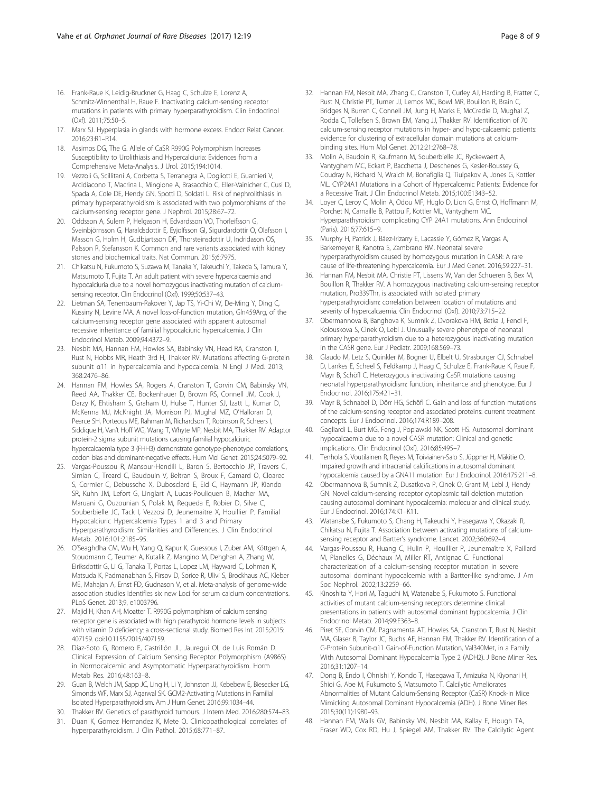- <span id="page-7-0"></span>16. Frank-Raue K, Leidig-Bruckner G, Haag C, Schulze E, Lorenz A, Schmitz-Winnenthal H, Raue F. Inactivating calcium-sensing receptor mutations in patients with primary hyperparathyroidism. Clin Endocrinol (Oxf). 2011;75:50–5.
- 17. Marx SJ. Hyperplasia in glands with hormone excess. Endocr Relat Cancer. 2016;23:R1–R14.
- 18. Assimos DG, The G. Allele of CaSR R990G Polymorphism Increases Susceptibility to Urolithiasis and Hypercalciuria: Evidences from a Comprehensive Meta-Analysis. J Urol. 2015;194:1014.
- 19. Vezzoli G, Scillitani A, Corbetta S, Terranegra A, Dogliotti E, Guarnieri V, Arcidiacono T, Macrina L, Mingione A, Brasacchio C, Eller-Vainicher C, Cusi D, Spada A, Cole DE, Hendy GN, Spotti D, Soldati L. Risk of nephrolithiasis in primary hyperparathyroidism is associated with two polymorphisms of the calcium-sensing receptor gene. J Nephrol. 2015;28:67–72.
- 20. Oddsson A, Sulem P, Helgason H, Edvardsson VO, Thorleifsson G, Sveinbjörnsson G, Haraldsdottir E, Eyjolfsson GI, Sigurdardottir O, Olafsson I, Masson G, Holm H, Gudbjartsson DF, Thorsteinsdottir U, Indridason OS, Palsson R, Stefansson K. Common and rare variants associated with kidney stones and biochemical traits. Nat Commun. 2015;6:7975.
- 21. Chikatsu N, Fukumoto S, Suzawa M, Tanaka Y, Takeuchi Y, Takeda S, Tamura Y, Matsumoto T, Fujita T. An adult patient with severe hypercalcaemia and hypocalciuria due to a novel homozygous inactivating mutation of calciumsensing receptor. Clin Endocrinol (Oxf). 1999;50:537–43.
- 22. Lietman SA, Tenenbaum-Rakover Y, Jap TS, Yi-Chi W, De-Ming Y, Ding C, Kussiny N, Levine MA. A novel loss-of-function mutation, Gln459Arg, of the calcium-sensing receptor gene associated with apparent autosomal recessive inheritance of familial hypocalciuric hypercalcemia. J Clin Endocrinol Metab. 2009;94:4372–9.
- 23. Nesbit MA, Hannan FM, Howles SA, Babinsky VN, Head RA, Cranston T, Rust N, Hobbs MR, Heath 3rd H, Thakker RV. Mutations affecting G-protein subunit α11 in hypercalcemia and hypocalcemia. N Engl J Med. 2013; 368:2476–86.
- 24. Hannan FM, Howles SA, Rogers A, Cranston T, Gorvin CM, Babinsky VN, Reed AA, Thakker CE, Bockenhauer D, Brown RS, Connell JM, Cook J, Darzy K, Ehtisham S, Graham U, Hulse T, Hunter SJ, Izatt L, Kumar D, McKenna MJ, McKnight JA, Morrison PJ, Mughal MZ, O'Halloran D, Pearce SH, Porteous ME, Rahman M, Richardson T, Robinson R, Scheers I, Siddique H, Van't Hoff WG, Wang T, Whyte MP, Nesbit MA, Thakker RV. Adaptor protein-2 sigma subunit mutations causing familial hypocalciuric hypercalcaemia type 3 (FHH3) demonstrate genotype-phenotype correlations, codon bias and dominant-negative effects. Hum Mol Genet. 2015;24:5079–92.
- 25. Vargas-Poussou R, Mansour-Hendili L, Baron S, Bertocchio JP, Travers C, Simian C, Treard C, Baudouin V, Beltran S, Broux F, Camard O, Cloarec S, Cormier C, Debussche X, Dubosclard E, Eid C, Haymann JP, Kiando SR, Kuhn JM, Lefort G, Linglart A, Lucas-Pouliquen B, Macher MA, Maruani G, Ouzounian S, Polak M, Requeda E, Robier D, Silve C, Souberbielle JC, Tack I, Vezzosi D, Jeunemaitre X, Houillier P. Familial Hypocalciuric Hypercalcemia Types 1 and 3 and Primary Hyperparathyroidism: Similarities and Differences. J Clin Endocrinol Metab. 2016;101:2185–95.
- 26. O'Seaghdha CM, Wu H, Yang Q, Kapur K, Guessous I, Zuber AM, Köttgen A, Stoudmann C, Teumer A, Kutalik Z, Mangino M, Dehghan A, Zhang W, Eiriksdottir G, Li G, Tanaka T, Portas L, Lopez LM, Hayward C, Lohman K, Matsuda K, Padmanabhan S, Firsov D, Sorice R, Ulivi S, Brockhaus AC, Kleber ME, Mahajan A, Ernst FD, Gudnason V, et al. Meta-analysis of genome-wide association studies identifies six new Loci for serum calcium concentrations. PLoS Genet. 2013;9, e1003796.
- 27. Majid H, Khan AH, Moatter T. R990G polymorphism of calcium sensing receptor gene is associated with high parathyroid hormone levels in subjects with vitamin D deficiency: a cross-sectional study. Biomed Res Int. 2015;2015: 407159. doi:[10.1155/2015/407159.](http://dx.doi.org/10.1155/2015/407159)
- 28. Díaz-Soto G, Romero E, Castrillón JL, Jauregui OI, de Luis Román D. Clinical Expression of Calcium Sensing Receptor Polymorphism (A986S) in Normocalcemic and Asymptomatic Hyperparathyroidism. Horm Metab Res. 2016;48:163–8.
- 29. Guan B, Welch JM, Sapp JC, Ling H, Li Y, Johnston JJ, Kebebew E, Biesecker LG, Simonds WF, Marx SJ, Agarwal SK. GCM2-Activating Mutations in Familial Isolated Hyperparathyroidism. Am J Hum Genet. 2016;99:1034–44.
- 30. Thakker RV. Genetics of parathyroid tumours. J Intern Med. 2016;280:574–83.
- 31. Duan K, Gomez Hernandez K, Mete O. Clinicopathological correlates of hyperparathyroidism. J Clin Pathol. 2015;68:771–87.
- 32. Hannan FM, Nesbit MA, Zhang C, Cranston T, Curley AJ, Harding B, Fratter C, Rust N, Christie PT, Turner JJ, Lemos MC, Bowl MR, Bouillon R, Brain C, Bridges N, Burren C, Connell JM, Jung H, Marks E, McCredie D, Mughal Z, Rodda C, Tollefsen S, Brown EM, Yang JJ, Thakker RV. Identification of 70 calcium-sensing receptor mutations in hyper- and hypo-calcaemic patients: evidence for clustering of extracellular domain mutations at calciumbinding sites. Hum Mol Genet. 2012;21:2768–78.
- 33. Molin A, Baudoin R, Kaufmann M, Souberbielle JC, Ryckewaert A, Vantyghem MC, Eckart P, Bacchetta J, Deschenes G, Kesler-Roussey G, Coudray N, Richard N, Wraich M, Bonafiglia Q, Tiulpakov A, Jones G, Kottler ML. CYP24A1 Mutations in a Cohort of Hypercalcemic Patients: Evidence for a Recessive Trait. J Clin Endocrinol Metab. 2015;100:E1343–52.
- 34. Loyer C, Leroy C, Molin A, Odou MF, Huglo D, Lion G, Ernst O, Hoffmann M, Porchet N, Carnaille B, Pattou F, Kottler ML, Vantyghem MC. Hyperparathyroidism complicating CYP 24A1 mutations. Ann Endocrinol (Paris). 2016;77:615–9.
- 35. Murphy H, Patrick J, Báez-Irizarry E, Lacassie Y, Gómez R, Vargas A, Barkemeyer B, Kanotra S, Zambrano RM. Neonatal severe hyperparathyroidism caused by homozygous mutation in CASR: A rare cause of life-threatening hypercalcemia. Eur J Med Genet. 2016;59:227–31.
- 36. Hannan FM, Nesbit MA, Christie PT, Lissens W, Van der Schueren B, Bex M, Bouillon R, Thakker RV. A homozygous inactivating calcium-sensing receptor mutation, Pro339Thr, is associated with isolated primary hyperparathyroidism: correlation between location of mutations and severity of hypercalcaemia. Clin Endocrinol (Oxf). 2010;73:715–22.
- 37. Obermannova B, Banghova K, Sumník Z, Dvorakova HM, Betka J, Fencl F, Kolouskova S, Cinek O, Lebl J. Unusually severe phenotype of neonatal primary hyperparathyroidism due to a heterozygous inactivating mutation in the CASR gene. Eur J Pediatr. 2009;168:569–73.
- 38. Glaudo M, Letz S, Quinkler M, Bogner U, Elbelt U, Strasburger CJ, Schnabel D, Lankes E, Scheel S, Feldkamp J, Haag C, Schulze E, Frank-Raue K, Raue F, Mayr B, Schöfl C. Heterozygous inactivating CaSR mutations causing neonatal hyperparathyroidism: function, inheritance and phenotype. Eur J Endocrinol. 2016;175:421–31.
- 39. Mayr B, Schnabel D, Dörr HG, Schöfl C. Gain and loss of function mutations of the calcium-sensing receptor and associated proteins: current treatment concepts. Eur J Endocrinol. 2016;174:R189–208.
- 40. Gagliardi L, Burt MG, Feng J, Poplawski NK, Scott HS. Autosomal dominant hypocalcaemia due to a novel CASR mutation: Clinical and genetic implications. Clin Endocrinol (Oxf). 2016;85:495–7.
- 41. Tenhola S, Voutilainen R, Reyes M, Toiviainen-Salo S, Jüppner H, Mäkitie O. Impaired growth and intracranial calcifications in autosomal dominant hypocalcemia caused by a GNA11 mutation. Eur J Endocrinol. 2016;175:211–8.
- 42. Obermannova B, Sumnik Z, Dusatkova P, Cinek O, Grant M, Lebl J, Hendy GN. Novel calcium-sensing receptor cytoplasmic tail deletion mutation causing autosomal dominant hypocalcemia: molecular and clinical study. Eur J Endocrinol. 2016;174:K1–K11.
- 43. Watanabe S, Fukumoto S, Chang H, Takeuchi Y, Hasegawa Y, Okazaki R, Chikatsu N, Fujita T. Association between activating mutations of calciumsensing receptor and Bartter's syndrome. Lancet. 2002;360:692–4.
- 44. Vargas-Poussou R, Huang C, Hulin P, Houillier P, Jeunemaître X, Paillard M, Planelles G, Déchaux M, Miller RT, Antignac C. Functional characterization of a calcium-sensing receptor mutation in severe autosomal dominant hypocalcemia with a Bartter-like syndrome. J Am Soc Nephrol. 2002;13:2259–66.
- 45. Kinoshita Y, Hori M, Taguchi M, Watanabe S, Fukumoto S. Functional activities of mutant calcium-sensing receptors determine clinical presentations in patients with autosomal dominant hypocalcemia. J Clin Endocrinol Metab. 2014;99:E363–8.
- 46. Piret SE, Gorvin CM, Pagnamenta AT, Howles SA, Cranston T, Rust N, Nesbit MA, Glaser B, Taylor JC, Buchs AE, Hannan FM, Thakker RV. Identification of a G-Protein Subunit-α11 Gain-of-Function Mutation, Val340Met, in a Family With Autosomal Dominant Hypocalcemia Type 2 (ADH2). J Bone Miner Res. 2016;31:1207–14.
- 47. Dong B, Endo I, Ohnishi Y, Kondo T, Hasegawa T, Amizuka N, Kiyonari H, Shioi G, Abe M, Fukumoto S, Matsumoto T. Calcilytic Ameliorates Abnormalities of Mutant Calcium-Sensing Receptor (CaSR) Knock-In Mice Mimicking Autosomal Dominant Hypocalcemia (ADH). J Bone Miner Res. 2015;30(11):1980–93.
- 48. Hannan FM, Walls GV, Babinsky VN, Nesbit MA, Kallay E, Hough TA, Fraser WD, Cox RD, Hu J, Spiegel AM, Thakker RV. The Calcilytic Agent